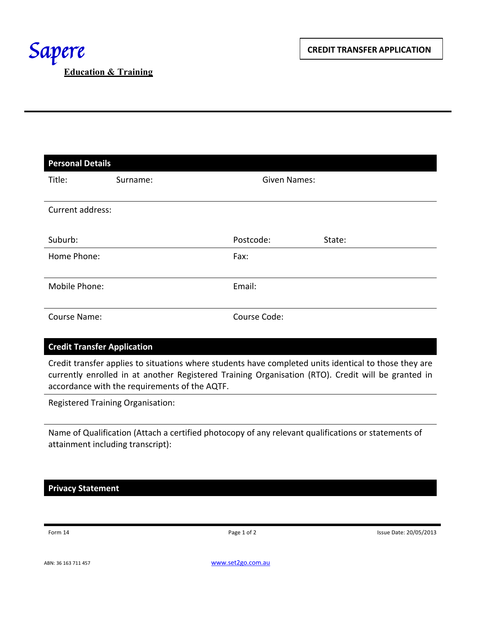| <b>Personal Details</b> |          |                     |        |
|-------------------------|----------|---------------------|--------|
| Title:                  | Surname: | <b>Given Names:</b> |        |
|                         |          |                     |        |
| Current address:        |          |                     |        |
|                         |          |                     |        |
| Suburb:                 |          | Postcode:           | State: |
| Home Phone:             |          | Fax:                |        |
|                         |          |                     |        |
| Mobile Phone:           |          | Email:              |        |
|                         |          |                     |        |
| Course Name:            |          | Course Code:        |        |
|                         |          |                     |        |

## **Credit Transfer Application**

Credit transfer applies to situations where students have completed units identical to those they are currently enrolled in at another Registered Training Organisation (RTO). Credit will be granted in accordance with the requirements of the AQTF.

Registered Training Organisation:

Name of Qualification (Attach a certified photocopy of any relevant qualifications or statements of attainment including transcript):

**Privacy Statement**

Form 14 **Page 1 of 2** Page 1 of 2 **Page 1 of 2** Issue Date: 20/05/2013